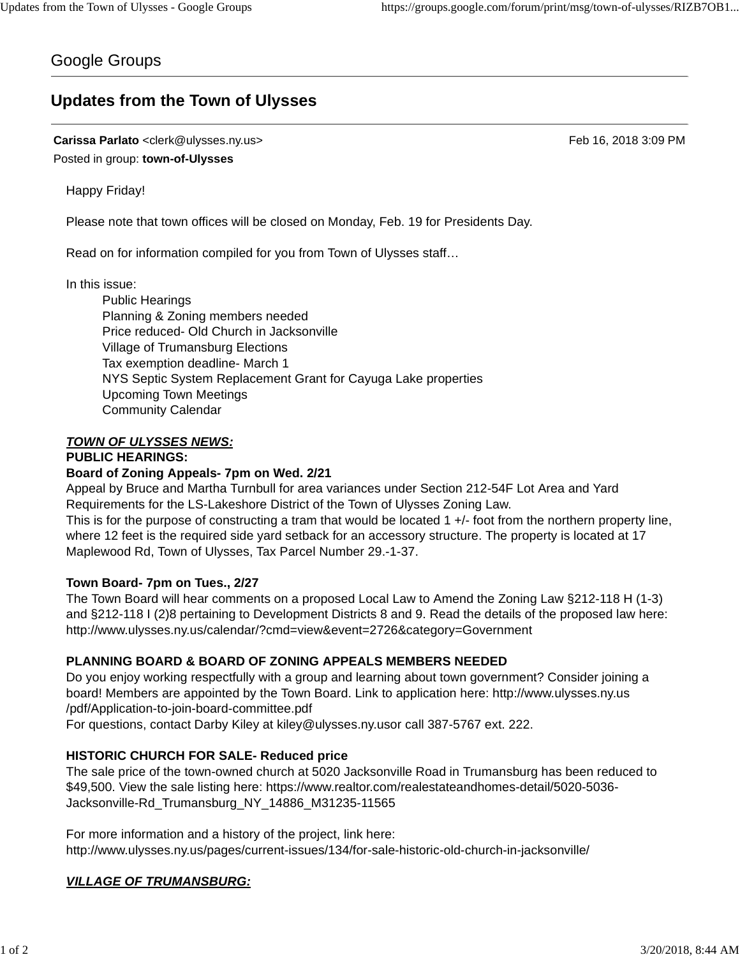# Google Groups

# **Updates from the Town of Ulysses**

**Carissa Parlato** <clerk@ulysses.ny.us> Feb 16, 2018 3:09 PM Posted in group: **town-of-Ulysses**

Happy Friday!

Please note that town offices will be closed on Monday, Feb. 19 for Presidents Day.

Read on for information compiled for you from Town of Ulysses staff…

In this issue:

Public Hearings Planning & Zoning members needed Price reduced- Old Church in Jacksonville Village of Trumansburg Elections Tax exemption deadline- March 1 NYS Septic System Replacement Grant for Cayuga Lake properties Upcoming Town Meetings Community Calendar

# *TOWN OF ULYSSES NEWS:*

### **PUBLIC HEARINGS:**

### **Board of Zoning Appeals- 7pm on Wed. 2/21**

Appeal by Bruce and Martha Turnbull for area variances under Section 212-54F Lot Area and Yard Requirements for the LS-Lakeshore District of the Town of Ulysses Zoning Law.

This is for the purpose of constructing a tram that would be located 1 +/- foot from the northern property line, where 12 feet is the required side yard setback for an accessory structure. The property is located at 17 Maplewood Rd, Town of Ulysses, Tax Parcel Number 29.-1-37.

### **Town Board- 7pm on Tues., 2/27**

The Town Board will hear comments on a proposed Local Law to Amend the Zoning Law §212-118 H (1-3) and §212-118 I (2)8 pertaining to Development Districts 8 and 9. Read the details of the proposed law here: http://www.ulysses.ny.us/calendar/?cmd=view&event=2726&category=Government

# **PLANNING BOARD & BOARD OF ZONING APPEALS MEMBERS NEEDED**

Do you enjoy working respectfully with a group and learning about town government? Consider joining a board! Members are appointed by the Town Board. Link to application here: http://www.ulysses.ny.us /pdf/Application-to-join-board-committee.pdf For questions, contact Darby Kiley at kiley@ulysses.ny.usor call 387-5767 ext. 222.

# **HISTORIC CHURCH FOR SALE- Reduced price**

The sale price of the town-owned church at 5020 Jacksonville Road in Trumansburg has been reduced to \$49,500. View the sale listing here: https://www.realtor.com/realestateandhomes-detail/5020-5036- Jacksonville-Rd\_Trumansburg\_NY\_14886\_M31235-11565

For more information and a history of the project, link here: http://www.ulysses.ny.us/pages/current-issues/134/for-sale-historic-old-church-in-jacksonville/

# *VILLAGE OF TRUMANSBURG:*